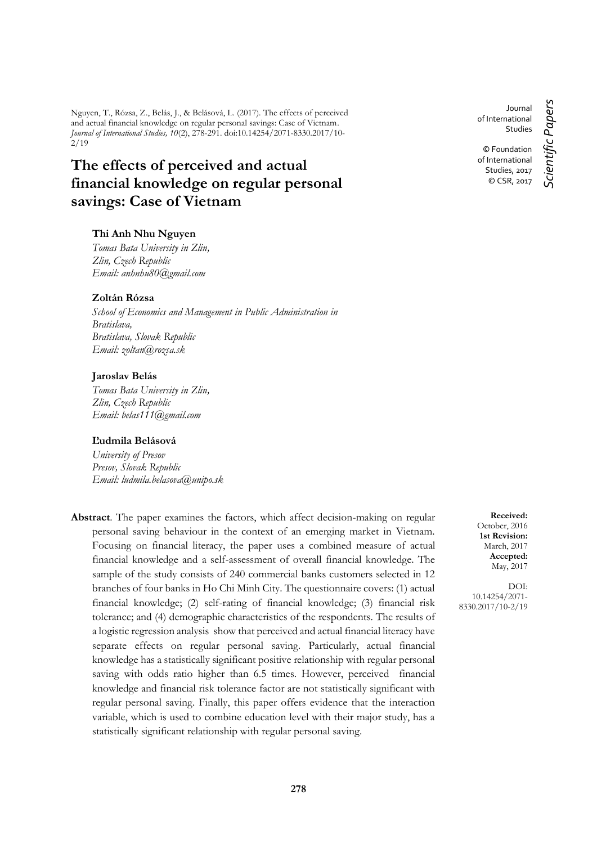Nguyen, T., Rózsa, Z., Belás, J., & Belásová, L. (2017). The effects of perceived and actual financial knowledge on regular personal savings: Case of Vietnam. *Journal of International Studies, 10*(2), 278-291. doi:10.14254/2071-8330.2017/10- 2/19

# **The effects of perceived and actual financial knowledge on regular personal savings: Case of Vietnam**

### **Thi Anh Nhu Nguyen**

*Tomas Bata University in Zlin, Zlin, Czech Republic Email: [anhnhu80@gmail.com](mailto:anhnhu80@gmail.com)*

### **Zoltán Rózsa**

*School of Economics and Management in Public Administration in Bratislava, Bratislava, Slovak Republic Email: [zoltan@rozsa.sk](mailto:zoltan@rozsa.sk)*

#### **Jaroslav Belás**

*Tomas Bata University in Zlin, Zlin, Czech Republic Email: belas111@gmail.com*

### **Ľudmila Belásová**

*University of Presov Presov, Slovak Republic Email: ludmila.belasova@unipo.sk*

**Abstract**. The paper examines the factors, which affect decision-making on regular personal saving behaviour in the context of an emerging market in Vietnam. Focusing on financial literacy, the paper uses a combined measure of actual financial knowledge and a self-assessment of overall financial knowledge. The sample of the study consists of 240 commercial banks customers selected in 12 branches of four banks in Ho Chi Minh City. The questionnaire covers: (1) actual financial knowledge; (2) self-rating of financial knowledge; (3) financial risk tolerance; and (4) demographic characteristics of the respondents. The results of a logistic regression analysis show that perceived and actual financial literacy have separate effects on regular personal saving. Particularly, actual financial knowledge has a statistically significant positive relationship with regular personal saving with odds ratio higher than 6.5 times. However, perceived financial knowledge and financial risk tolerance factor are not statistically significant with regular personal saving. Finally, this paper offers evidence that the interaction variable, which is used to combine education level with their major study, has a statistically significant relationship with regular personal saving.

Journal of International Studies *Scientific Papers*

Scientific Papers

© Foundation of International Studies, 2017 © CSR, 2017

**Received:** October, 2016 **1st Revision:** March, 2017 **Accepted:** May, 2017

DOI: 10.14254/2071- 8330.2017/10-2/19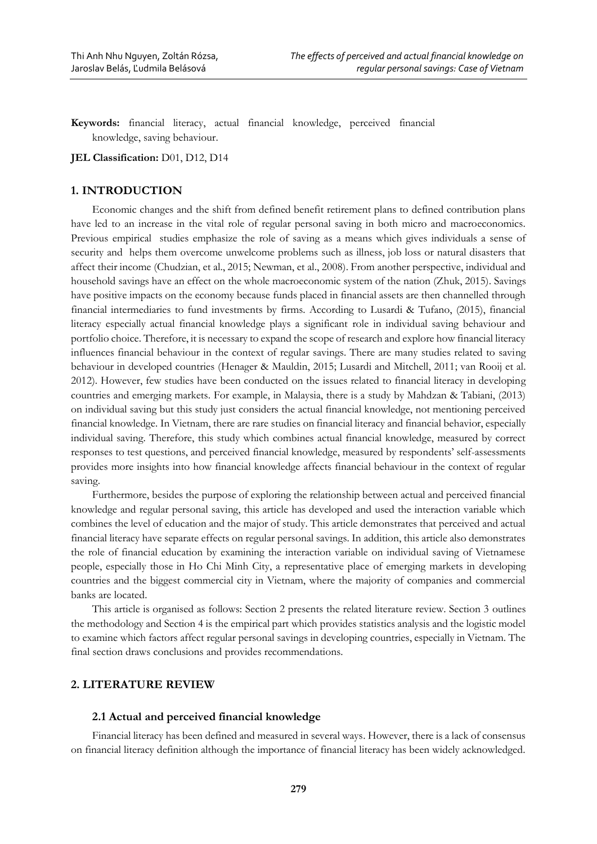**Keywords:** financial literacy, actual financial knowledge, perceived financial knowledge, saving behaviour.

**JEL Classification:** D01, D12, D14

### **1. INTRODUCTION**

Economic changes and the shift from defined benefit retirement plans to defined contribution plans have led to an increase in the vital role of regular personal saving in both micro and macroeconomics. Previous empirical studies emphasize the role of saving as a means which gives individuals a sense of security and helps them overcome unwelcome problems such as illness, job loss or natural disasters that affect their income (Chudzian, et al., 2015; Newman, et al., 2008). From another perspective, individual and household savings have an effect on the whole macroeconomic system of the nation (Zhuk, 2015). Savings have positive impacts on the economy because funds placed in financial assets are then channelled through financial intermediaries to fund investments by firms. According to Lusardi & Tufano, (2015), financial literacy especially actual financial knowledge plays a significant role in individual saving behaviour and portfolio choice. Therefore, it is necessary to expand the scope of research and explore how financial literacy influences financial behaviour in the context of regular savings. There are many studies related to saving behaviour in developed countries (Henager & Mauldin, 2015; Lusardi and Mitchell, 2011; van Rooij et al. 2012). However, few studies have been conducted on the issues related to financial literacy in developing countries and emerging markets. For example, in Malaysia, there is a study by Mahdzan & Tabiani, (2013) on individual saving but this study just considers the actual financial knowledge, not mentioning perceived financial knowledge. In Vietnam, there are rare studies on financial literacy and financial behavior, especially individual saving. Therefore, this study which combines actual financial knowledge, measured by correct responses to test questions, and perceived financial knowledge, measured by respondents' self-assessments provides more insights into how financial knowledge affects financial behaviour in the context of regular saving.

Furthermore, besides the purpose of exploring the relationship between actual and perceived financial knowledge and regular personal saving, this article has developed and used the interaction variable which combines the level of education and the major of study. This article demonstrates that perceived and actual financial literacy have separate effects on regular personal savings. In addition, this article also demonstrates the role of financial education by examining the interaction variable on individual saving of Vietnamese people, especially those in Ho Chi Minh City, a representative place of emerging markets in developing countries and the biggest commercial city in Vietnam, where the majority of companies and commercial banks are located.

This article is organised as follows: Section 2 presents the related literature review. Section 3 outlines the methodology and Section 4 is the empirical part which provides statistics analysis and the logistic model to examine which factors affect regular personal savings in developing countries, especially in Vietnam. The final section draws conclusions and provides recommendations.

# **2. LITERATURE REVIEW**

### **2.1 Actual and perceived financial knowledge**

Financial literacy has been defined and measured in several ways. However, there is a lack of consensus on financial literacy definition although the importance of financial literacy has been widely acknowledged.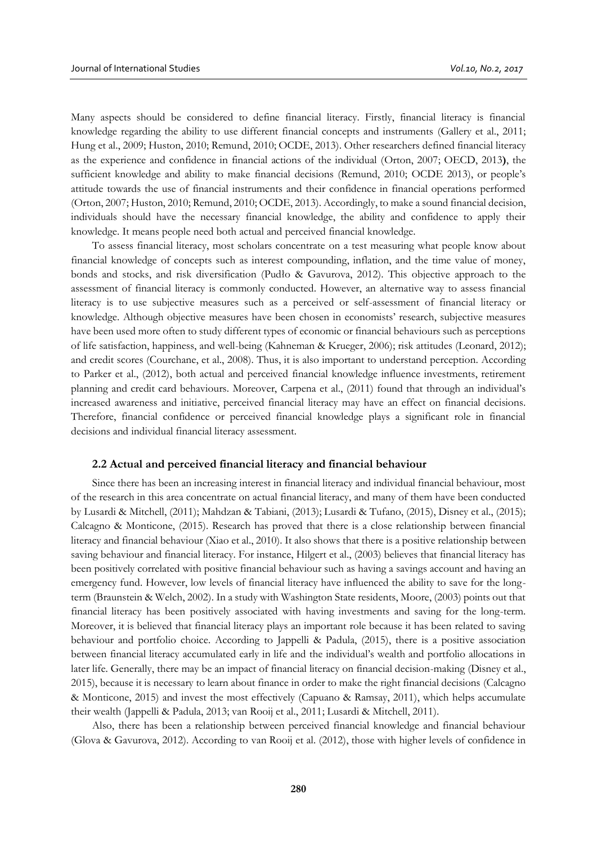Many aspects should be considered to define financial literacy. Firstly, financial literacy is financial knowledge regarding the ability to use different financial concepts and instruments (Gallery et al., 2011; Hung et al., 2009; Huston, 2010; Remund, 2010; OCDE, 2013). Other researchers defined financial literacy as the experience and confidence in financial actions of the individual (Orton, 2007; OECD, 2013**)**, the sufficient knowledge and ability to make financial decisions (Remund, 2010; OCDE 2013), or people's attitude towards the use of financial instruments and their confidence in financial operations performed (Orton, 2007; Huston, 2010; Remund, 2010; OCDE, 2013). Accordingly, to make a sound financial decision, individuals should have the necessary financial knowledge, the ability and confidence to apply their knowledge. It means people need both actual and perceived financial knowledge.

To assess financial literacy, most scholars concentrate on a test measuring what people know about financial knowledge of concepts such as interest compounding, inflation, and the time value of money, bonds and stocks, and risk diversification ([Pudło](https://www.google.sk/url?sa=t&rct=j&q=&esrc=s&source=web&cd=2&cad=rja&uact=8&ved=0ahUKEwifo-rNmtjVAhVBtBQKHTjYBO0QFggvMAE&url=https%3A%2F%2Fpl-pl.facebook.com%2Fpatipudlo&usg=AFQjCNGYNdxAiCV_h83CcDPVD77aM1UQsg) & Gavurova, 2012). This objective approach to the assessment of financial literacy is commonly conducted. However, an alternative way to assess financial literacy is to use subjective measures such as a perceived or self-assessment of financial literacy or knowledge. Although objective measures have been chosen in economists' research, subjective measures have been used more often to study different types of economic or financial behaviours such as perceptions of life satisfaction, happiness, and well-being (Kahneman & Krueger, 2006); risk attitudes (Leonard, 2012); and credit scores (Courchane, et al., 2008). Thus, it is also important to understand perception. According to Parker et al., (2012), both actual and perceived financial knowledge influence investments, retirement planning and credit card behaviours. Moreover, Carpena et al., (2011) found that through an individual's increased awareness and initiative, perceived financial literacy may have an effect on financial decisions. Therefore, financial confidence or perceived financial knowledge plays a significant role in financial decisions and individual financial literacy assessment.

#### **2.2 Actual and perceived financial literacy and financial behaviour**

Since there has been an increasing interest in financial literacy and individual financial behaviour, most of the research in this area concentrate on actual financial literacy, and many of them have been conducted by Lusardi & Mitchell, (2011); Mahdzan & Tabiani, (2013); Lusardi & Tufano, (2015), Disney et al., (2015); Calcagno & Monticone, (2015). Research has proved that there is a close relationship between financial literacy and financial behaviour (Xiao et al., 2010). It also shows that there is a positive relationship between saving behaviour and financial literacy. For instance, Hilgert et al., (2003) believes that financial literacy has been positively correlated with positive financial behaviour such as having a savings account and having an emergency fund. However, low levels of financial literacy have influenced the ability to save for the longterm (Braunstein & Welch, 2002). In a study with Washington State residents, Moore, (2003) points out that financial literacy has been positively associated with having investments and saving for the long-term. Moreover, it is believed that financial literacy plays an important role because it has been related to saving behaviour and portfolio choice. According to Jappelli & Padula, (2015), there is a positive association between financial literacy accumulated early in life and the individual's wealth and portfolio allocations in later life. Generally, there may be an impact of financial literacy on financial decision-making (Disney et al., 2015), because it is necessary to learn about finance in order to make the right financial decisions (Calcagno & Monticone, 2015) and invest the most effectively (Capuano & Ramsay, 2011), which helps accumulate their wealth (Jappelli & Padula, 2013; van Rooij et al., 2011; Lusardi & Mitchell, 2011).

Also, there has been a relationship between perceived financial knowledge and financial behaviour (Glova & Gavurova, 2012). According to van Rooij et al. (2012), those with higher levels of confidence in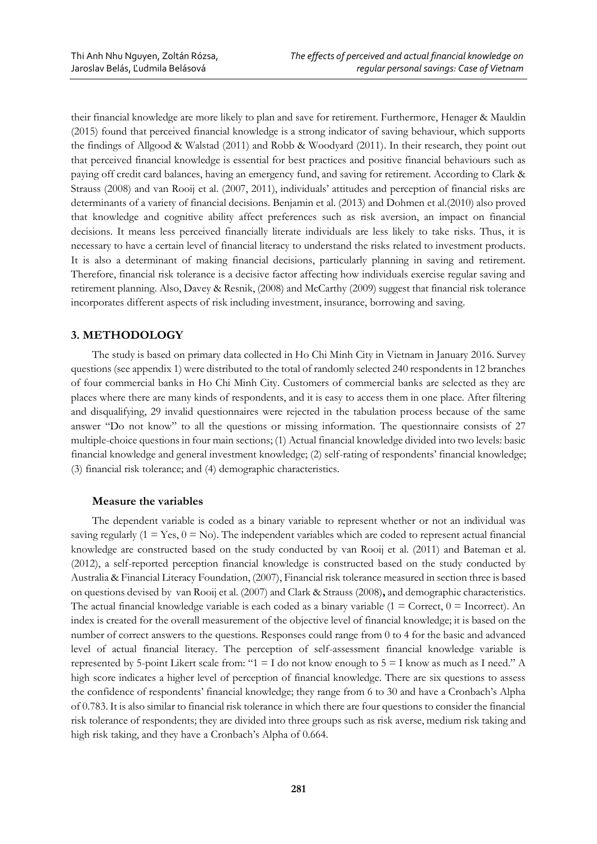their financial knowledge are more likely to plan and save for retirement. Furthermore, Henager & Mauldin (2015) found that perceived financial knowledge is a strong indicator of saving behaviour, which supports the findings of Allgood & Walstad (2011) and Robb & Woodyard (2011). In their research, they point out that perceived financial knowledge is essential for best practices and positive financial behaviours such as paying off credit card balances, having an emergency fund, and saving for retirement. According to Clark & Strauss (2008) and van Rooij et al. (2007, 2011), individuals' attitudes and perception of financial risks are determinants of a variety of financial decisions. Benjamin et al. (2013) and Dohmen et al.(2010) also proved that knowledge and cognitive ability affect preferences such as risk aversion, an impact on financial decisions. It means less perceived financially literate individuals are less likely to take risks. Thus, it is necessary to have a certain level of financial literacy to understand the risks related to investment products. It is also a determinant of making financial decisions, particularly planning in saving and retirement. Therefore, financial risk tolerance is a decisive factor affecting how individuals exercise regular saving and retirement planning. Also, Davey & Resnik, (2008) and McCarthy (2009) suggest that financial risk tolerance incorporates different aspects of risk including investment, insurance, borrowing and saving.

# **3. METHODOLOGY**

The study is based on primary data collected in Ho Chi Minh City in Vietnam in January 2016. Survey questions (see appendix 1) were distributed to the total of randomly selected 240 respondents in 12 branches of four commercial banks in Ho Chi Minh City. Customers of commercial banks are selected as they are places where there are many kinds of respondents, and it is easy to access them in one place. After filtering and disqualifying, 29 invalid questionnaires were rejected in the tabulation process because of the same answer "Do not know" to all the questions or missing information. The questionnaire consists of 27 multiple-choice questions in four main sections; (1) Actual financial knowledge divided into two levels: basic financial knowledge and general investment knowledge; (2) self-rating of respondents' financial knowledge; (3) financial risk tolerance; and (4) demographic characteristics.

# **Measure the variables**

The dependent variable is coded as a binary variable to represent whether or not an individual was saving regularly  $(1 = Yes, 0 = No)$ . The independent variables which are coded to represent actual financial knowledge are constructed based on the study conducted by van Rooij et al. (2011) and Bateman et al. (2012), a self-reported perception financial knowledge is constructed based on the study conducted by Australia & Financial Literacy Foundation, (2007), Financial risk tolerance measured in section three is based on questions devised by van Rooij et al. (2007) and Clark & Strauss (2008)**,** and demographic characteristics. The actual financial knowledge variable is each coded as a binary variable  $(1 = \text{Correct}, 0 = \text{incorrect})$ . An index is created for the overall measurement of the objective level of financial knowledge; it is based on the number of correct answers to the questions. Responses could range from 0 to 4 for the basic and advanced level of actual financial literacy. The perception of self-assessment financial knowledge variable is represented by 5-point Likert scale from: "1 = I do not know enough to 5 = I know as much as I need." A high score indicates a higher level of perception of financial knowledge. There are six questions to assess the confidence of respondents' financial knowledge; they range from 6 to 30 and have a Cronbach's Alpha of 0.783. It is also similar to financial risk tolerance in which there are four questions to consider the financial risk tolerance of respondents; they are divided into three groups such as risk averse, medium risk taking and high risk taking, and they have a Cronbach's Alpha of 0.664.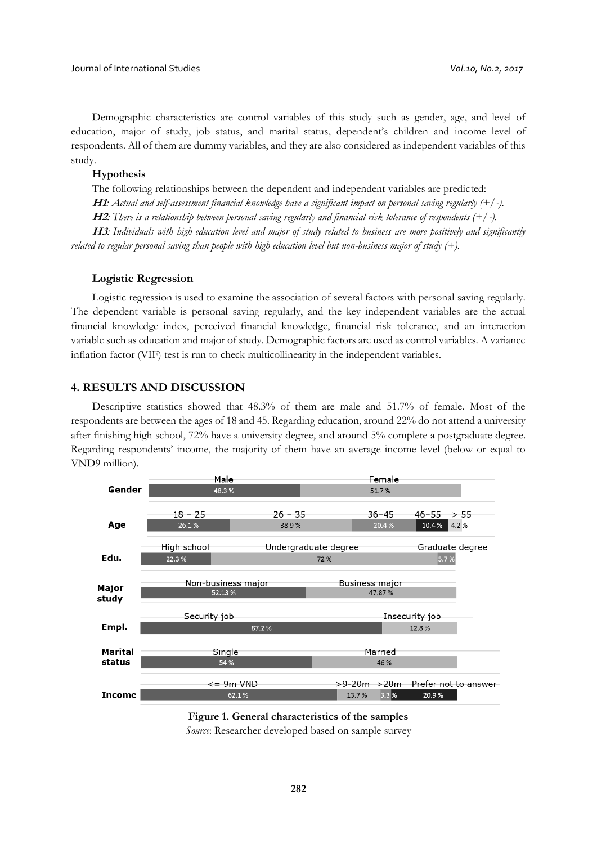Demographic characteristics are control variables of this study such as gender, age, and level of education, major of study, job status, and marital status, dependent's children and income level of respondents. All of them are dummy variables, and they are also considered as independent variables of this study.

#### **Hypothesis**

The following relationships between the dependent and independent variables are predicted:

**H1***: Actual and self-assessment financial knowledge have a significant impact on personal saving regularly (+/-).*

**H2***: There is a relationship between personal saving regularly and financial risk tolerance of respondents (+/-).*

**H3***: Individuals with high education level and major of study related to business are more positively and significantly related to regular personal saving than people with high education level but non-business major of study (+).*

### **Logistic Regression**

Logistic regression is used to examine the association of several factors with personal saving regularly. The dependent variable is personal saving regularly, and the key independent variables are the actual financial knowledge index, perceived financial knowledge, financial risk tolerance, and an interaction variable such as education and major of study. Demographic factors are used as control variables. A variance inflation factor (VIF) test is run to check multicollinearity in the independent variables.

### **4. RESULTS AND DISCUSSION**

Descriptive statistics showed that 48.3% of them are male and 51.7% of female. Most of the respondents are between the ages of 18 and 45. Regarding education, around 22% do not attend a university after finishing high school, 72% have a university degree, and around 5% complete a postgraduate degree. Regarding respondents' income, the majority of them have an average income level (below or equal to VND9 million).



**Figure 1. General characteristics of the samples** *Source*: Researcher developed based on sample survey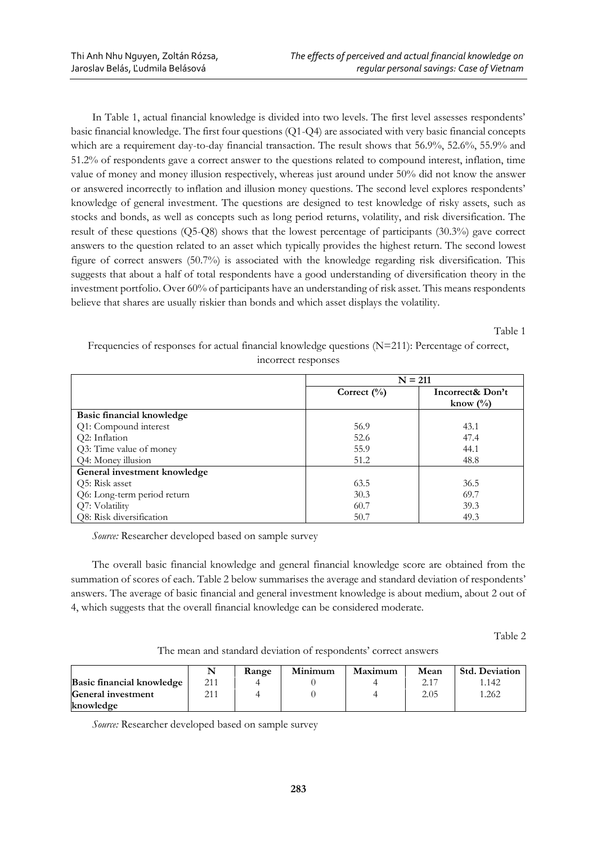In Table 1, actual financial knowledge is divided into two levels. The first level assesses respondents' basic financial knowledge. The first four questions (Q1-Q4) are associated with very basic financial concepts which are a requirement day-to-day financial transaction. The result shows that 56.9%, 52.6%, 55.9% and 51.2% of respondents gave a correct answer to the questions related to compound interest, inflation, time value of money and money illusion respectively, whereas just around under 50% did not know the answer or answered incorrectly to inflation and illusion money questions. The second level explores respondents' knowledge of general investment. The questions are designed to test knowledge of risky assets, such as stocks and bonds, as well as concepts such as long period returns, volatility, and risk diversification. The result of these questions (Q5-Q8) shows that the lowest percentage of participants (30.3%) gave correct answers to the question related to an asset which typically provides the highest return. The second lowest figure of correct answers (50.7%) is associated with the knowledge regarding risk diversification. This suggests that about a half of total respondents have a good understanding of diversification theory in the investment portfolio. Over 60% of participants have an understanding of risk asset. This means respondents believe that shares are usually riskier than bonds and which asset displays the volatility.

Table 1

Frequencies of responses for actual financial knowledge questions (N=211): Percentage of correct, incorrect responses

|                              | $N = 211$       |                                 |  |
|------------------------------|-----------------|---------------------------------|--|
|                              | Correct $(\% )$ | Incorrect& Don't                |  |
|                              |                 | know $\left(\frac{0}{0}\right)$ |  |
| Basic financial knowledge    |                 |                                 |  |
| Q1: Compound interest        | 56.9            | 43.1                            |  |
| Q2: Inflation                | 52.6            | 47.4                            |  |
| Q3: Time value of money      | 55.9            | 44.1                            |  |
| Q4: Money illusion           | 51.2            | 48.8                            |  |
| General investment knowledge |                 |                                 |  |
| Q5: Risk asset               | 63.5            | 36.5                            |  |
| Q6: Long-term period return  | 30.3            | 69.7                            |  |
| Q7: Volatility               | 60.7            | 39.3                            |  |
| Q8: Risk diversification     | 50.7            | 49.3                            |  |

*Source:* Researcher developed based on sample survey

The overall basic financial knowledge and general financial knowledge score are obtained from the summation of scores of each. Table 2 below summarises the average and standard deviation of respondents' answers. The average of basic financial and general investment knowledge is about medium, about 2 out of 4, which suggests that the overall financial knowledge can be considered moderate.

Table 2

The mean and standard deviation of respondents' correct answers

|                           |     | Range | Minimum | Maximum | Mean | <b>Std. Deviation</b> |
|---------------------------|-----|-------|---------|---------|------|-----------------------|
| Basic financial knowledge | 211 |       |         |         |      | 142.                  |
| General investment        |     |       |         |         | 2.05 | 1.262                 |
| knowledge                 |     |       |         |         |      |                       |

*Source:* Researcher developed based on sample survey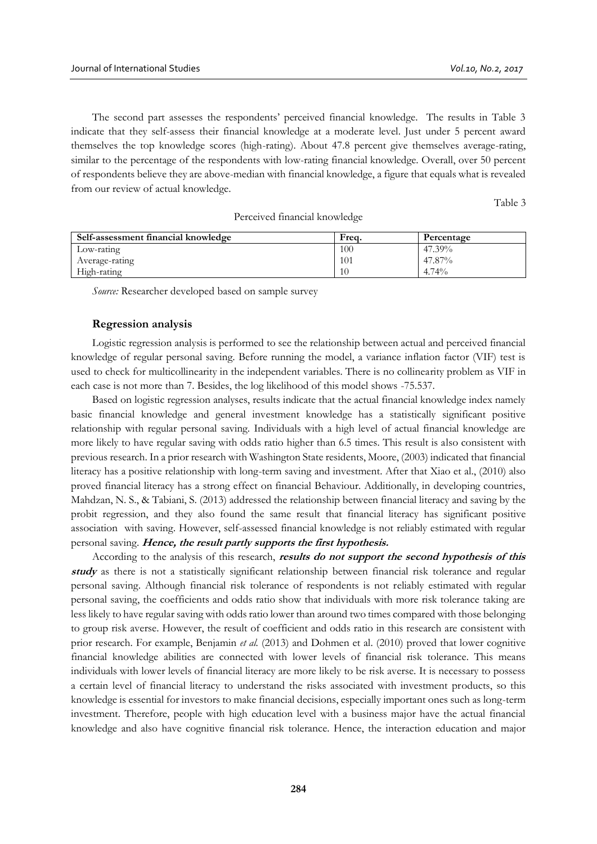The second part assesses the respondents' perceived financial knowledge. The results in Table 3 indicate that they self-assess their financial knowledge at a moderate level. Just under 5 percent award themselves the top knowledge scores (high-rating). About 47.8 percent give themselves average-rating, similar to the percentage of the respondents with low-rating financial knowledge. Overall, over 50 percent of respondents believe they are above-median with financial knowledge, a figure that equals what is revealed from our review of actual knowledge.

Table 3

| Self-assessment financial knowledge | Freq. | Percentage |  |  |  |
|-------------------------------------|-------|------------|--|--|--|
| Low-rating                          | 100   | 47.39%     |  |  |  |
| Average-rating                      | 101   | 47.87%     |  |  |  |
| High-rating                         | 10    | 4.74%      |  |  |  |

Perceived financial knowledge

*Source:* Researcher developed based on sample survey

## **Regression analysis**

Logistic regression analysis is performed to see the relationship between actual and perceived financial knowledge of regular personal saving. Before running the model, a variance inflation factor (VIF) test is used to check for multicollinearity in the independent variables. There is no collinearity problem as VIF in each case is not more than 7. Besides, the log likelihood of this model shows -75.537.

Based on logistic regression analyses, results indicate that the actual financial knowledge index namely basic financial knowledge and general investment knowledge has a statistically significant positive relationship with regular personal saving. Individuals with a high level of actual financial knowledge are more likely to have regular saving with odds ratio higher than 6.5 times. This result is also consistent with previous research. In a prior research with Washington State residents, Moore, (2003) indicated that financial literacy has a positive relationship with long-term saving and investment. After that Xiao et al., (2010) also proved financial literacy has a strong effect on financial Behaviour. Additionally, in developing countries, Mahdzan, N. S., & Tabiani, S. (2013) addressed the relationship between financial literacy and saving by the probit regression, and they also found the same result that financial literacy has significant positive association with saving. However, self-assessed financial knowledge is not reliably estimated with regular personal saving. **Hence, the result partly supports the first hypothesis.**

According to the analysis of this research, **results do not support the second hypothesis of this study** as there is not a statistically significant relationship between financial risk tolerance and regular personal saving. Although financial risk tolerance of respondents is not reliably estimated with regular personal saving, the coefficients and odds ratio show that individuals with more risk tolerance taking are less likely to have regular saving with odds ratio lower than around two times compared with those belonging to group risk averse. However, the result of coefficient and odds ratio in this research are consistent with prior research. For example, Benjamin *et al.* (2013) and Dohmen et al. (2010) proved that lower cognitive financial knowledge abilities are connected with lower levels of financial risk tolerance. This means individuals with lower levels of financial literacy are more likely to be risk averse. It is necessary to possess a certain level of financial literacy to understand the risks associated with investment products, so this knowledge is essential for investors to make financial decisions, especially important ones such as long-term investment. Therefore, people with high education level with a business major have the actual financial knowledge and also have cognitive financial risk tolerance. Hence, the interaction education and major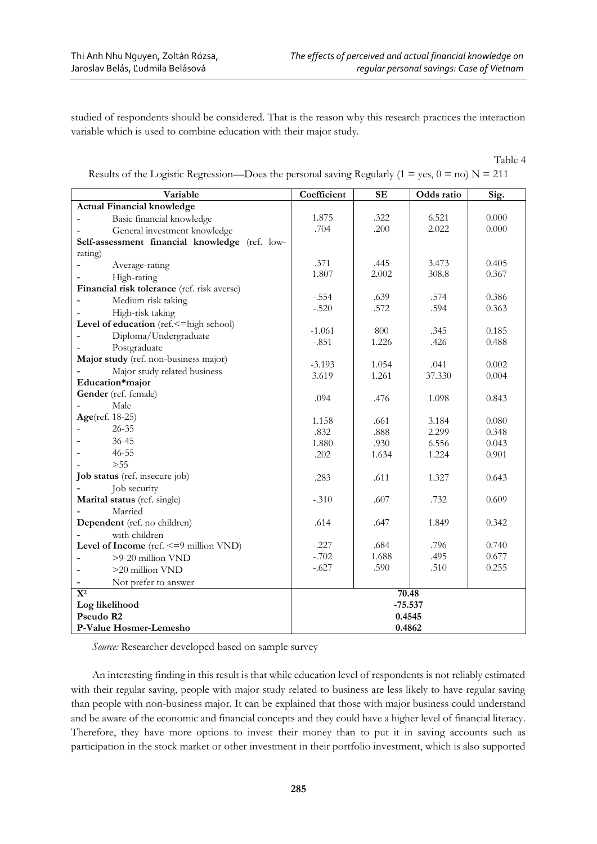studied of respondents should be considered. That is the reason why this research practices the interaction variable which is used to combine education with their major study.

Table 4

| Variable                                       | Coefficient         | $\mathbf{SE}$ | Odds ratio | Sig.  |
|------------------------------------------------|---------------------|---------------|------------|-------|
| <b>Actual Financial knowledge</b>              |                     |               |            |       |
| Basic financial knowledge                      | 1.875               | .322          | 6.521      | 0.000 |
| General investment knowledge                   | .704                | .200          | 2.022      | 0.000 |
| Self-assessment financial knowledge (ref. low- |                     |               |            |       |
| rating)                                        |                     |               |            |       |
| Average-rating                                 | .371                | .445          | 3.473      | 0.405 |
| High-rating                                    | 1.807               | 2.002         | 308.8      | 0.367 |
| Financial risk tolerance (ref. risk averse)    |                     |               |            |       |
| Medium risk taking                             | $-.554$             | .639          | .574       | 0.386 |
| High-risk taking                               | $-.520$             | .572          | .594       | 0.363 |
| Level of education (ref.<= high school)        |                     |               |            |       |
| Diploma/Undergraduate                          | $-1.061$<br>$-.851$ | 800<br>1.226  | .345       | 0.185 |
| Postgraduate                                   |                     |               | .426       | 0.488 |
| Major study (ref. non-business major)          | $-3.193$            | 1.054         | .041       | 0.002 |
| Major study related business                   | 3.619               | 1.261         | 37.330     | 0.004 |
| Education*major                                |                     |               |            |       |
| Gender (ref. female)                           | .094                | .476          | 1.098      | 0.843 |
| Male                                           |                     |               |            |       |
| Age(ref. 18-25)                                | 1.158               | .661          | 3.184      | 0.080 |
| $26 - 35$                                      | .832                | .888          | 2.299      | 0.348 |
| $36 - 45$                                      | 1.880               | .930          | 6.556      | 0.043 |
| $46 - 55$                                      | .202                | 1.634         | 1.224      | 0.901 |
| >55                                            |                     |               |            |       |
| Job status (ref. insecure job)                 | .283                | .611          | 1.327      | 0.643 |
| Job security                                   |                     |               |            |       |
| Marital status (ref. single)                   | $-.310$             | .607          | .732       | 0.609 |
| Married                                        |                     |               |            |       |
| Dependent (ref. no children)                   | .614                | .647          | 1.849      | 0.342 |
| with children                                  |                     |               |            |       |
| Level of Income (ref. <= 9 million VND)        | $-.227$             | .684          | .796       | 0.740 |
| >9-20 million VND                              | $-.702$             | 1.688         | .495       | 0.677 |
| >20 million VND                                | $-.627$             | .590          | .510       | 0.255 |
| Not prefer to answer                           |                     |               |            |       |
| ${\bf X}^2$                                    | 70.48               |               |            |       |
| Log likelihood                                 |                     | $-75.537$     |            |       |
| Pseudo R2                                      | 0.4545              |               |            |       |
| P-Value Hosmer-Lemesho                         | 0.4862              |               |            |       |

Results of the Logistic Regression—Does the personal saving Regularly (1 = yes,  $0 =$  no) N = 211

*Source:* Researcher developed based on sample survey

An interesting finding in this result is that while education level of respondents is not reliably estimated with their regular saving, people with major study related to business are less likely to have regular saving than people with non-business major. It can be explained that those with major business could understand and be aware of the economic and financial concepts and they could have a higher level of financial literacy. Therefore, they have more options to invest their money than to put it in saving accounts such as participation in the stock market or other investment in their portfolio investment, which is also supported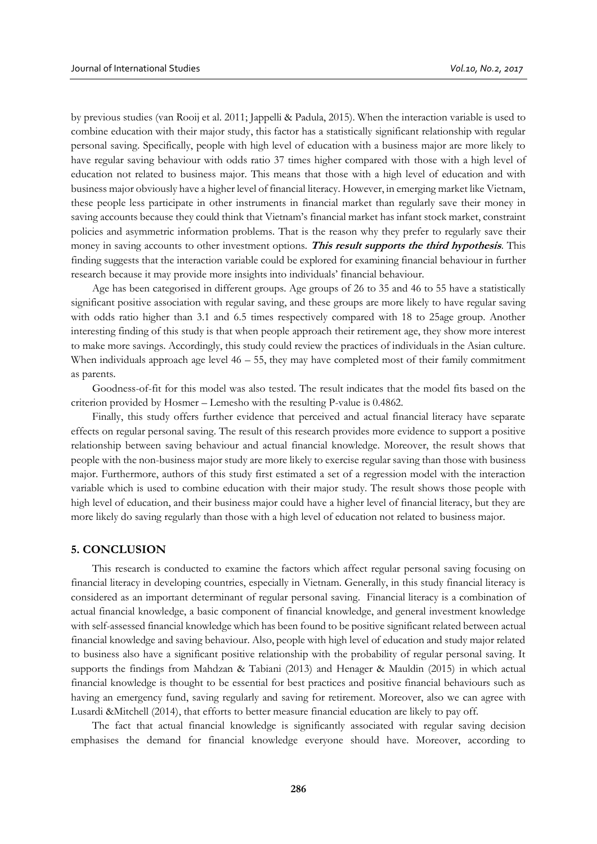by previous studies (van Rooij et al. 2011; Jappelli & Padula, 2015). When the interaction variable is used to combine education with their major study, this factor has a statistically significant relationship with regular personal saving. Specifically, people with high level of education with a business major are more likely to have regular saving behaviour with odds ratio 37 times higher compared with those with a high level of education not related to business major. This means that those with a high level of education and with business major obviously have a higher level of financial literacy. However, in emerging market like Vietnam, these people less participate in other instruments in financial market than regularly save their money in saving accounts because they could think that Vietnam's financial market has infant stock market, constraint policies and asymmetric information problems. That is the reason why they prefer to regularly save their money in saving accounts to other investment options. **This result supports the third hypothesis**. This finding suggests that the interaction variable could be explored for examining financial behaviour in further research because it may provide more insights into individuals' financial behaviour.

Age has been categorised in different groups. Age groups of 26 to 35 and 46 to 55 have a statistically significant positive association with regular saving, and these groups are more likely to have regular saving with odds ratio higher than 3.1 and 6.5 times respectively compared with 18 to 25age group. Another interesting finding of this study is that when people approach their retirement age, they show more interest to make more savings. Accordingly, this study could review the practices of individuals in the Asian culture. When individuals approach age level  $46 - 55$ , they may have completed most of their family commitment as parents.

Goodness-of-fit for this model was also tested. The result indicates that the model fits based on the criterion provided by Hosmer – Lemesho with the resulting P-value is 0.4862.

Finally, this study offers further evidence that perceived and actual financial literacy have separate effects on regular personal saving. The result of this research provides more evidence to support a positive relationship between saving behaviour and actual financial knowledge. Moreover, the result shows that people with the non-business major study are more likely to exercise regular saving than those with business major. Furthermore, authors of this study first estimated a set of a regression model with the interaction variable which is used to combine education with their major study. The result shows those people with high level of education, and their business major could have a higher level of financial literacy, but they are more likely do saving regularly than those with a high level of education not related to business major.

#### **5. CONCLUSION**

This research is conducted to examine the factors which affect regular personal saving focusing on financial literacy in developing countries, especially in Vietnam. Generally, in this study financial literacy is considered as an important determinant of regular personal saving. Financial literacy is a combination of actual financial knowledge, a basic component of financial knowledge, and general investment knowledge with self-assessed financial knowledge which has been found to be positive significant related between actual financial knowledge and saving behaviour. Also, people with high level of education and study major related to business also have a significant positive relationship with the probability of regular personal saving. It supports the findings from Mahdzan & Tabiani (2013) and Henager & Mauldin (2015) in which actual financial knowledge is thought to be essential for best practices and positive financial behaviours such as having an emergency fund, saving regularly and saving for retirement. Moreover, also we can agree with Lusardi &Mitchell (2014), that efforts to better measure financial education are likely to pay off.

The fact that actual financial knowledge is significantly associated with regular saving decision emphasises the demand for financial knowledge everyone should have. Moreover, according to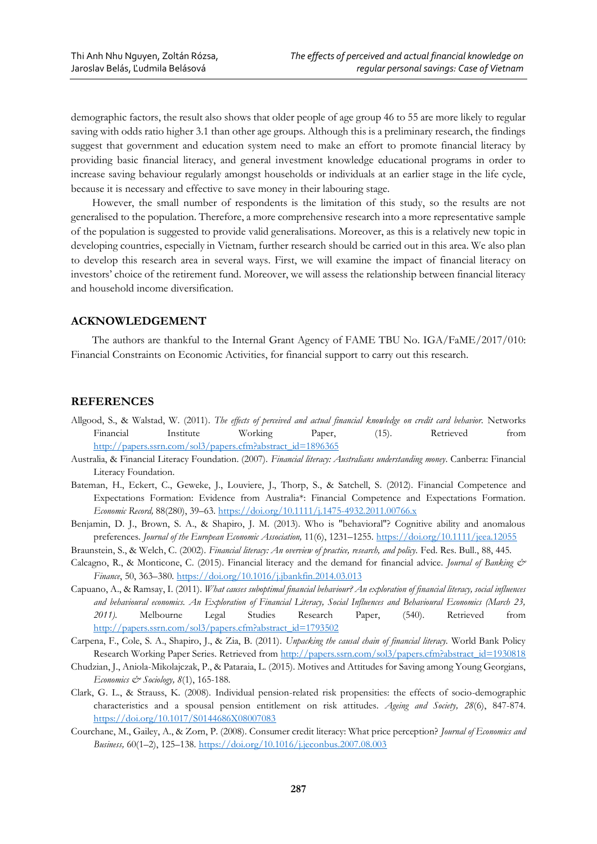demographic factors, the result also shows that older people of age group 46 to 55 are more likely to regular saving with odds ratio higher 3.1 than other age groups. Although this is a preliminary research, the findings suggest that government and education system need to make an effort to promote financial literacy by providing basic financial literacy, and general investment knowledge educational programs in order to increase saving behaviour regularly amongst households or individuals at an earlier stage in the life cycle, because it is necessary and effective to save money in their labouring stage.

However, the small number of respondents is the limitation of this study, so the results are not generalised to the population. Therefore, a more comprehensive research into a more representative sample of the population is suggested to provide valid generalisations. Moreover, as this is a relatively new topic in developing countries, especially in Vietnam, further research should be carried out in this area. We also plan to develop this research area in several ways. First, we will examine the impact of financial literacy on investors' choice of the retirement fund. Moreover, we will assess the relationship between financial literacy and household income diversification.

### **ACKNOWLEDGEMENT**

The authors are thankful to the Internal Grant Agency of FAME TBU No. IGA/FaME/2017/010: Financial Constraints on Economic Activities, for financial support to carry out this research.

### **REFERENCES**

- Allgood, S., & Walstad, W. (2011). *The effects of perceived and actual financial knowledge on credit card behavior.* Networks Financial Institute Working Paper, (15). Retrieved from [http://papers.ssrn.com/sol3/papers.cfm?abstract\\_id=1896365](http://papers.ssrn.com/sol3/papers.cfm?abstract_id=1896365)
- Australia, & Financial Literacy Foundation. (2007). *Financial literacy: Australians understanding money.* Canberra: Financial Literacy Foundation.
- Bateman, H., Eckert, C., Geweke, J., Louviere, J., Thorp, S., & Satchell, S. (2012). Financial Competence and Expectations Formation: Evidence from Australia\*: Financial Competence and Expectations Formation. *Economic Record,* 88(280), 39–63[. https://doi.org/10.1111/j.1475-4932.2011.00766.x](https://doi.org/10.1111/j.1475-4932.2011.00766.x)
- Benjamin, D. J., Brown, S. A., & Shapiro, J. M. (2013). Who is "behavioral"? Cognitive ability and anomalous preferences. *Journal of the European Economic Association,* 11(6), 1231–1255.<https://doi.org/10.1111/jeea.12055>
- Braunstein, S., & Welch, C. (2002). *Financial literacy: An overview of practice, research, and policy.* Fed. Res. Bull., 88, 445.
- Calcagno, R., & Monticone, C. (2015). Financial literacy and the demand for financial advice. *Journal of Banking & Finance*, 50, 363–380.<https://doi.org/10.1016/j.jbankfin.2014.03.013>
- Capuano, A., & Ramsay, I. (2011). *What causes suboptimal financial behaviour? An exploration of financial literacy, social influences and behavioural economics. An Exploration of Financial Literacy, Social Influences and Behavioural Economics (March 23, 2011).* Melbourne Legal Studies Research Paper, (540). Retrieved from [http://papers.ssrn.com/sol3/papers.cfm?abstract\\_id=1793502](http://papers.ssrn.com/sol3/papers.cfm?abstract_id=1793502)
- Carpena, F., Cole, S. A., Shapiro, J., & Zia, B. (2011). *Unpacking the causal chain of financial literacy.* World Bank Policy Research Working Paper Series. Retrieved fro[m http://papers.ssrn.com/sol3/papers.cfm?abstract\\_id=1930818](http://papers.ssrn.com/sol3/papers.cfm?abstract_id=1930818)
- Chudzian, J., Aniola-Mikolajczak, P., & Pataraia, L. (2015). Motives and Attitudes for Saving among Young Georgians, *Economics & Sociology, 8*(1), 165-188.
- Clark, G. L., & Strauss, K. (2008). Individual pension-related risk propensities: the effects of socio-demographic characteristics and a spousal pension entitlement on risk attitudes. *Ageing and Society, 28*(6), 847-874. <https://doi.org/10.1017/S0144686X08007083>
- Courchane, M., Gailey, A., & Zorn, P. (2008). Consumer credit literacy: What price perception? *Journal of Economics and Business,* 60(1–2), 125–138.<https://doi.org/10.1016/j.jeconbus.2007.08.003>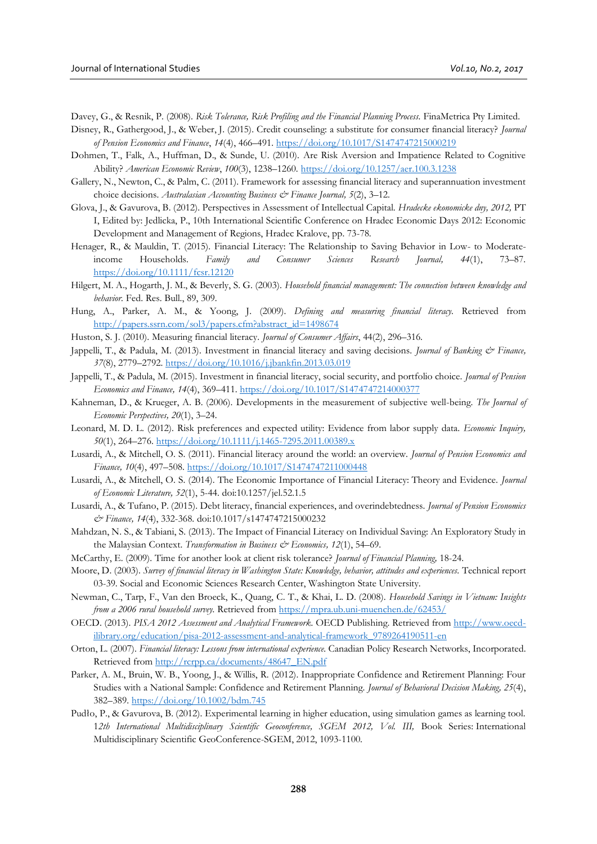Davey, G., & Resnik, P. (2008). *Risk Tolerance, Risk Profiling and the Financial Planning Process.* FinaMetrica Pty Limited.

- Disney, R., Gathergood, J., & Weber, J. (2015). Credit counseling: a substitute for consumer financial literacy? *Journal of Pension Economics and Finance*, *14*(4), 466–491.<https://doi.org/10.1017/S1474747215000219>
- Dohmen, T., Falk, A., Huffman, D., & Sunde, U. (2010). Are Risk Aversion and Impatience Related to Cognitive Ability? *American Economic Review*, *100*(3), 1238–1260.<https://doi.org/10.1257/aer.100.3.1238>
- Gallery, N., Newton, C., & Palm, C. (2011). Framework for assessing financial literacy and superannuation investment choice decisions. *Australasian Accounting Business & Finance Journal, 5*(2), 3–12.
- Glova, J., & Gavurova, B. (2012). Perspectives in Assessment of Intellectual Capital. *Hradecke ekonomicke dny, 2012,* PT I, Edited by: [Jedlicka, P.,](https://ezproxy.cvtisr.sk:2774/OneClickSearch.do?product=UA&search_mode=OneClickSearch&excludeEventConfig=ExcludeIfFromFullRecPage&SID=R2u54488ahDFDWc7b7k&field=ED&value=Jedlicka,%20P) 10th International Scientific Conference on Hradec Economic Days 2012: Economic Development and Management of Regions, Hradec Kralove, pp. 73-78.
- Henager, R., & Mauldin, T. (2015). Financial Literacy: The Relationship to Saving Behavior in Low- to Moderateincome Households. *Family and Consumer Sciences Research Journal, 44*(1), 73–87. <https://doi.org/10.1111/fcsr.12120>
- Hilgert, M. A., Hogarth, J. M., & Beverly, S. G. (2003). *Household financial management: The connection between knowledge and behavior.* Fed. Res. Bull., 89, 309.
- Hung, A., Parker, A. M., & Yoong, J. (2009). *Defining and measuring financial literacy.* Retrieved from [http://papers.ssrn.com/sol3/papers.cfm?abstract\\_id=1498674](http://papers.ssrn.com/sol3/papers.cfm?abstract_id=1498674)
- Huston, S. J. (2010). Measuring financial literacy. *Journal of Consumer Affairs*, 44(2), 296–316.
- Jappelli, T., & Padula, M. (2013). Investment in financial literacy and saving decisions. *Journal of Banking & Finance, 37*(8), 2779–2792.<https://doi.org/10.1016/j.jbankfin.2013.03.019>
- Jappelli, T., & Padula, M. (2015). Investment in financial literacy, social security, and portfolio choice. *Journal of Pension Economics and Finance, 14*(4), 369–411.<https://doi.org/10.1017/S1474747214000377>
- Kahneman, D., & Krueger, A. B. (2006). Developments in the measurement of subjective well-being. *The Journal of Economic Perspectives, 20*(1), 3–24.
- Leonard, M. D. L. (2012). Risk preferences and expected utility: Evidence from labor supply data. *Economic Inquiry, 50*(1), 264–276.<https://doi.org/10.1111/j.1465-7295.2011.00389.x>
- Lusardi, A., & Mitchell, O. S. (2011). Financial literacy around the world: an overview. *Journal of Pension Economics and Finance, 10*(4), 497–508[. https://doi.org/10.1017/S1474747211000448](https://doi.org/10.1017/S1474747211000448)
- Lusardi, A., & Mitchell, O. S. (2014). The Economic Importance of Financial Literacy: Theory and Evidence. *Journal of Economic Literature, 52*(1), 5-44. doi:10.1257/jel.52.1.5
- Lusardi, A., & Tufano, P. (2015). Debt literacy, financial experiences, and overindebtedness. *Journal of Pension Economics & Finance, 14*(4), 332-368. doi:10.1017/s1474747215000232
- Mahdzan, N. S., & Tabiani, S. (2013). The Impact of Financial Literacy on Individual Saving: An Exploratory Study in the Malaysian Context. *Transformation in Business & Economics, 12*(1), 54–69.
- McCarthy, E. (2009). Time for another look at client risk tolerance? *Journal of Financial Planning,* 18-24.
- Moore, D. (2003). *Survey of financial literacy in Washington State: Knowledge, behavior, attitudes and experiences.* Technical report 03-39. Social and Economic Sciences Research Center, Washington State University.
- Newman, C., Tarp, F., Van den Broeck, K., Quang, C. T., & Khai, L. D. (2008). *Household Savings in Vietnam: Insights from a 2006 rural household survey.* Retrieved from<https://mpra.ub.uni-muenchen.de/62453/>
- OECD. (2013). *PISA 2012 Assessment and Analytical Framework.* OECD Publishing. Retrieved from [http://www.oecd](http://www.oecd-ilibrary.org/education/pisa-2012-assessment-and-analytical-framework_9789264190511-en)[ilibrary.org/education/pisa-2012-assessment-and-analytical-framework\\_9789264190511-en](http://www.oecd-ilibrary.org/education/pisa-2012-assessment-and-analytical-framework_9789264190511-en)
- Orton, L. (2007). *Financial literacy: Lessons from international experience.* Canadian Policy Research Networks, Incorporated. Retrieved fro[m http://rcrpp.ca/documents/48647\\_EN.pdf](http://rcrpp.ca/documents/48647_EN.pdf)
- Parker, A. M., Bruin, W. B., Yoong, J., & Willis, R. (2012). Inappropriate Confidence and Retirement Planning: Four Studies with a National Sample: Confidence and Retirement Planning. *Journal of Behavioral Decision Making, 25*(4), 382–389.<https://doi.org/10.1002/bdm.745>
- [Pudło](https://www.google.sk/url?sa=t&rct=j&q=&esrc=s&source=web&cd=2&cad=rja&uact=8&ved=0ahUKEwifo-rNmtjVAhVBtBQKHTjYBO0QFggvMAE&url=https%3A%2F%2Fpl-pl.facebook.com%2Fpatipudlo&usg=AFQjCNGYNdxAiCV_h83CcDPVD77aM1UQsg), P., & Gavurova, B. (2012). Experimental learning in higher education, using simulation games as learning tool. 1*2th International Multidisciplinary Scientific Geoconference, SGEM 2012, Vol. III,* Book Series: International Multidisciplinary Scientific GeoConference-SGEM, 2012, 1093-1100.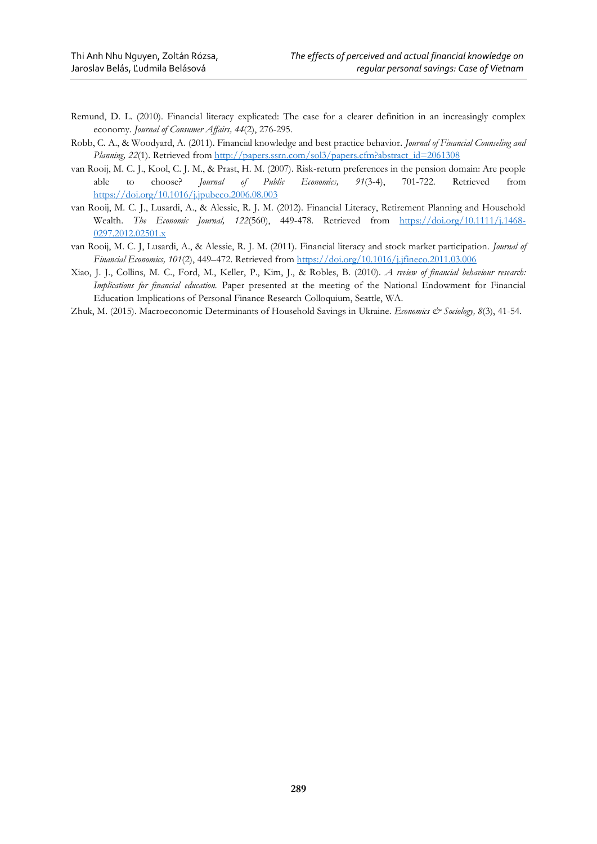- Remund, D. L. (2010). Financial literacy explicated: The case for a clearer definition in an increasingly complex economy. *Journal of Consumer Affairs, 44*(2), 276-295.
- Robb, C. A., & Woodyard, A. (2011). Financial knowledge and best practice behavior. *Journal of Financial Counseling and Planning,* 22(1). Retrieved from [http://papers.ssrn.com/sol3/papers.cfm?abstract\\_id=2061308](http://papers.ssrn.com/sol3/papers.cfm?abstract_id=2061308)
- van Rooij, M. C. J., Kool, C. J. M., & Prast, H. M. (2007). Risk-return preferences in the pension domain: Are people able to choose? *Journal of Public Economics, 91*(3-4), 701-722. Retrieved from <https://doi.org/10.1016/j.jpubeco.2006.08.003>
- van Rooij, M. C. J., Lusardi, A., & Alessie, R. J. M. (2012). Financial Literacy, Retirement Planning and Household Wealth. *The Economic Journal, 122*(560), 449-478. Retrieved from [https://doi.org/10.1111/j.1468-](https://doi.org/10.1111/j.1468-0297.2012.02501.x) [0297.2012.02501.x](https://doi.org/10.1111/j.1468-0297.2012.02501.x)
- van Rooij, M. C. J, Lusardi, A., & Alessie, R. J. M. (2011). Financial literacy and stock market participation. *Journal of Financial Economics, 101*(2), 449–472. Retrieved from<https://doi.org/10.1016/j.jfineco.2011.03.006>
- Xiao, J. J., Collins, M. C., Ford, M., Keller, P., Kim, J., & Robles, B. (2010). *A review of financial behaviour research: Implications for financial education.* Paper presented at the meeting of the National Endowment for Financial Education Implications of Personal Finance Research Colloquium, Seattle, WA.
- Zhuk, M. (2015). Macroeconomic Determinants of Household Savings in Ukraine. *Economics & Sociology, 8*(3), 41-54.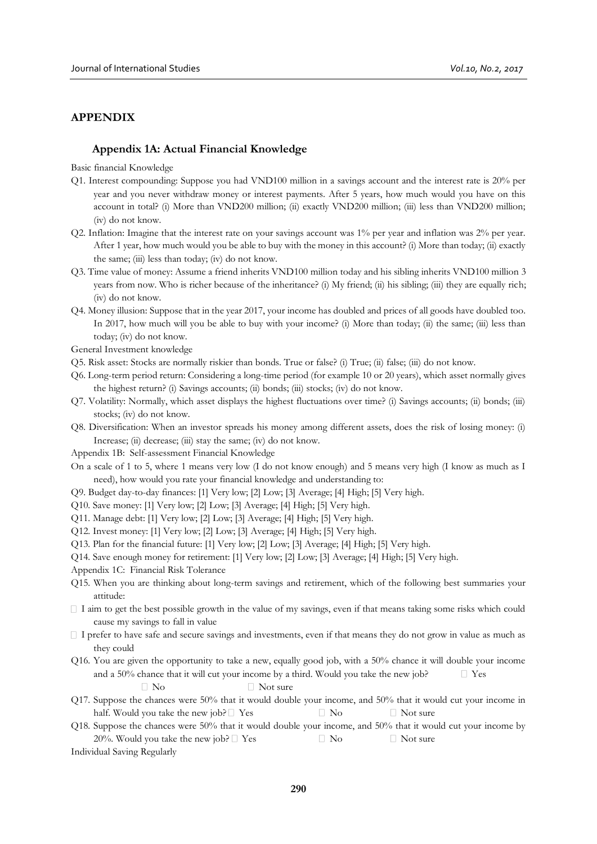# **APPENDIX**

### **Appendix 1A: Actual Financial Knowledge**

Basic financial Knowledge

- Q1. Interest compounding: Suppose you had VND100 million in a savings account and the interest rate is 20% per year and you never withdraw money or interest payments. After 5 years, how much would you have on this account in total? (i) More than VND200 million; (ii) exactly VND200 million; (iii) less than VND200 million; (iv) do not know.
- Q2. Inflation: Imagine that the interest rate on your savings account was 1% per year and inflation was 2% per year. After 1 year, how much would you be able to buy with the money in this account? (i) More than today; (ii) exactly the same; (iii) less than today; (iv) do not know.
- Q3. Time value of money: Assume a friend inherits VND100 million today and his sibling inherits VND100 million 3 years from now. Who is richer because of the inheritance? (i) My friend; (ii) his sibling; (iii) they are equally rich; (iv) do not know.
- Q4. Money illusion: Suppose that in the year 2017, your income has doubled and prices of all goods have doubled too. In 2017, how much will you be able to buy with your income? (i) More than today; (ii) the same; (iii) less than today; (iv) do not know.

General Investment knowledge

- Q5. Risk asset: Stocks are normally riskier than bonds. True or false? (i) True; (ii) false; (iii) do not know.
- Q6. Long-term period return: Considering a long-time period (for example 10 or 20 years), which asset normally gives the highest return? (i) Savings accounts; (ii) bonds; (iii) stocks; (iv) do not know.
- Q7. Volatility: Normally, which asset displays the highest fluctuations over time? (i) Savings accounts; (ii) bonds; (iii) stocks; (iv) do not know.
- Q8. Diversification: When an investor spreads his money among different assets, does the risk of losing money: (i) Increase; (ii) decrease; (iii) stay the same; (iv) do not know.
- Appendix 1B: Self-assessment Financial Knowledge
- On a scale of 1 to 5, where 1 means very low (I do not know enough) and 5 means very high (I know as much as I need), how would you rate your financial knowledge and understanding to:
- Q9. Budget day-to-day finances: [1] Very low; [2] Low; [3] Average; [4] High; [5] Very high.
- Q10. Save money: [1] Very low; [2] Low; [3] Average; [4] High; [5] Very high.
- Q11. Manage debt: [1] Very low; [2] Low; [3] Average; [4] High; [5] Very high.
- Q12. Invest money: [1] Very low; [2] Low; [3] Average; [4] High; [5] Very high.
- Q13. Plan for the financial future: [1] Very low; [2] Low; [3] Average; [4] High; [5] Very high.
- Q14. Save enough money for retirement: [1] Very low; [2] Low; [3] Average; [4] High; [5] Very high.
- Appendix 1C: Financial Risk Tolerance
- Q15. When you are thinking about long-term savings and retirement, which of the following best summaries your attitude:
- $\Box$  I aim to get the best possible growth in the value of my savings, even if that means taking some risks which could cause my savings to fall in value
- $\Box$  I prefer to have safe and secure savings and investments, even if that means they do not grow in value as much as they could
- Q16. You are given the opportunity to take a new, equally good job, with a 50% chance it will double your income and a 50% chance that it will cut your income by a third. Would you take the new job?  $\Box$  Yes  $\neg$  Not sure
- Q17. Suppose the chances were 50% that it would double your income, and 50% that it would cut your income in half. Would you take the new job?  $\Box$  Yes  $\Box$  No  $\Box$  Not sure
- Q18. Suppose the chances were 50% that it would double your income, and 50% that it would cut your income by 20%. Would you take the new job?  $\Box$  Yes  $\Box$  No  $\Box$  Not sure

Individual Saving Regularly